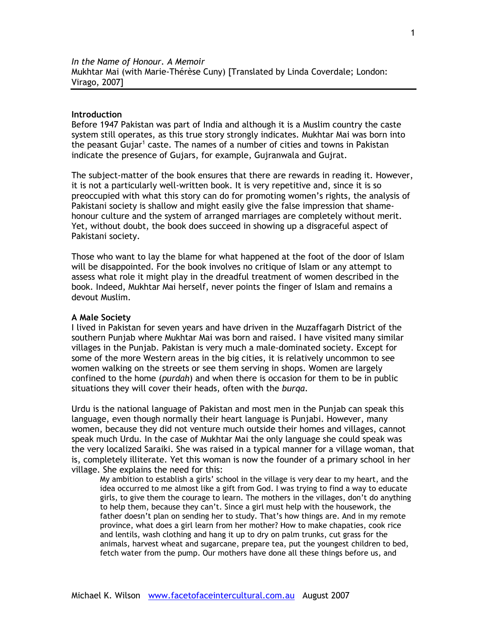# **Introduction**

Before 1947 Pakistan was part of India and although it is a Muslim country the caste system still operates, as this true story strongly indicates. Mukhtar Mai was born into the peasant Gujar<sup>1</sup> caste. The names of a number of cities and towns in Pakistan indicate the presence of Gujars, for example, Gujranwala and Gujrat.

The subject-matter of the book ensures that there are rewards in reading it. However, it is not a particularly well-written book. It is very repetitive and, since it is so preoccupied with what this story can do for promoting women's rights, the analysis of Pakistani society is shallow and might easily give the false impression that shamehonour culture and the system of arranged marriages are completely without merit. Yet, without doubt, the book does succeed in showing up a disgraceful aspect of Pakistani society.

Those who want to lay the blame for what happened at the foot of the door of Islam will be disappointed. For the book involves no critique of Islam or any attempt to assess what role it might play in the dreadful treatment of women described in the book. Indeed, Mukhtar Mai herself, never points the finger of Islam and remains a devout Muslim.

### **A Male Society**

I lived in Pakistan for seven years and have driven in the Muzaffagarh District of the southern Punjab where Mukhtar Mai was born and raised. I have visited many similar villages in the Punjab. Pakistan is very much a male-dominated society. Except for some of the more Western areas in the big cities, it is relatively uncommon to see women walking on the streets or see them serving in shops. Women are largely confined to the home (*purdah*) and when there is occasion for them to be in public situations they will cover their heads, often with the *burqa*.

Urdu is the national language of Pakistan and most men in the Punjab can speak this language, even though normally their heart language is Punjabi. However, many women, because they did not venture much outside their homes and villages, cannot speak much Urdu. In the case of Mukhtar Mai the only language she could speak was the very localized Saraiki. She was raised in a typical manner for a village woman, that is, completely illiterate. Yet this woman is now the founder of a primary school in her village. She explains the need for this:

My ambition to establish a girls' school in the village is very dear to my heart, and the idea occurred to me almost like a gift from God. I was trying to find a way to educate girls, to give them the courage to learn. The mothers in the villages, don't do anything to help them, because they can't. Since a girl must help with the housework, the father doesn't plan on sending her to study. That's how things are. And in my remote province, what does a girl learn from her mother? How to make chapaties, cook rice and lentils, wash clothing and hang it up to dry on palm trunks, cut grass for the animals, harvest wheat and sugarcane, prepare tea, put the youngest children to bed, fetch water from the pump. Our mothers have done all these things before us, and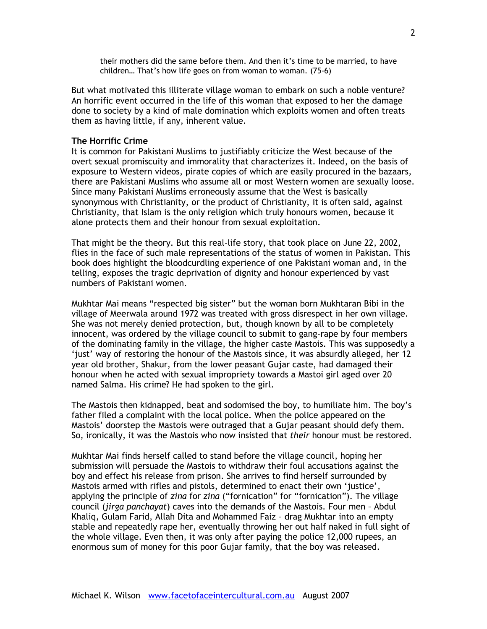their mothers did the same before them. And then it's time to be married, to have children… That's how life goes on from woman to woman. (75-6)

But what motivated this illiterate village woman to embark on such a noble venture? An horrific event occurred in the life of this woman that exposed to her the damage done to society by a kind of male domination which exploits women and often treats them as having little, if any, inherent value.

## **The Horrific Crime**

It is common for Pakistani Muslims to justifiably criticize the West because of the overt sexual promiscuity and immorality that characterizes it. Indeed, on the basis of exposure to Western videos, pirate copies of which are easily procured in the bazaars, there are Pakistani Muslims who assume all or most Western women are sexually loose. Since many Pakistani Muslims erroneously assume that the West is basically synonymous with Christianity, or the product of Christianity, it is often said, against Christianity, that Islam is the only religion which truly honours women, because it alone protects them and their honour from sexual exploitation.

That might be the theory. But this real-life story, that took place on June 22, 2002, flies in the face of such male representations of the status of women in Pakistan. This book does highlight the bloodcurdling experience of one Pakistani woman and, in the telling, exposes the tragic deprivation of dignity and honour experienced by vast numbers of Pakistani women.

Mukhtar Mai means "respected big sister" but the woman born Mukhtaran Bibi in the village of Meerwala around 1972 was treated with gross disrespect in her own village. She was not merely denied protection, but, though known by all to be completely innocent, was ordered by the village council to submit to gang-rape by four members of the dominating family in the village, the higher caste Mastois. This was supposedly a 'just' way of restoring the honour of the Mastois since, it was absurdly alleged, her 12 year old brother, Shakur, from the lower peasant Gujar caste, had damaged their honour when he acted with sexual impropriety towards a Mastoi girl aged over 20 named Salma. His crime? He had spoken to the girl.

The Mastois then kidnapped, beat and sodomised the boy, to humiliate him. The boy's father filed a complaint with the local police. When the police appeared on the Mastois' doorstep the Mastois were outraged that a Gujar peasant should defy them. So, ironically, it was the Mastois who now insisted that *their* honour must be restored.

Mukhtar Mai finds herself called to stand before the village council, hoping her submission will persuade the Mastois to withdraw their foul accusations against the boy and effect his release from prison. She arrives to find herself surrounded by Mastois armed with rifles and pistols, determined to enact their own 'justice', applying the principle of *zina* for *zina* ("fornication" for "fornication"). The village council (*jirga panchayat*) caves into the demands of the Mastois. Four men – Abdul Khaliq, Gulam Farid, Allah Dita and Mohammed Faiz – drag Mukhtar into an empty stable and repeatedly rape her, eventually throwing her out half naked in full sight of the whole village. Even then, it was only after paying the police 12,000 rupees, an enormous sum of money for this poor Gujar family, that the boy was released.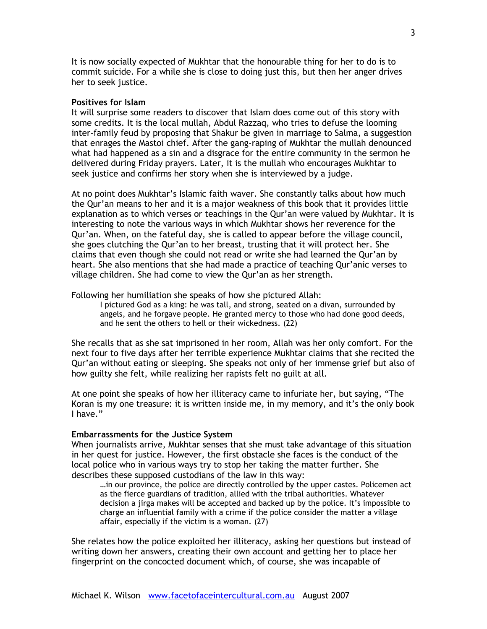It is now socially expected of Mukhtar that the honourable thing for her to do is to commit suicide. For a while she is close to doing just this, but then her anger drives her to seek justice.

### **Positives for Islam**

It will surprise some readers to discover that Islam does come out of this story with some credits. It is the local mullah, Abdul Razzaq, who tries to defuse the looming inter-family feud by proposing that Shakur be given in marriage to Salma, a suggestion that enrages the Mastoi chief. After the gang-raping of Mukhtar the mullah denounced what had happened as a sin and a disgrace for the entire community in the sermon he delivered during Friday prayers. Later, it is the mullah who encourages Mukhtar to seek justice and confirms her story when she is interviewed by a judge.

At no point does Mukhtar's Islamic faith waver. She constantly talks about how much the Qur'an means to her and it is a major weakness of this book that it provides little explanation as to which verses or teachings in the Qur'an were valued by Mukhtar. It is interesting to note the various ways in which Mukhtar shows her reverence for the Qur'an. When, on the fateful day, she is called to appear before the village council, she goes clutching the Qur'an to her breast, trusting that it will protect her. She claims that even though she could not read or write she had learned the Qur'an by heart. She also mentions that she had made a practice of teaching Qur'anic verses to village children. She had come to view the Qur'an as her strength.

Following her humiliation she speaks of how she pictured Allah:

I pictured God as a king: he was tall, and strong, seated on a divan, surrounded by angels, and he forgave people. He granted mercy to those who had done good deeds, and he sent the others to hell or their wickedness. (22)

She recalls that as she sat imprisoned in her room, Allah was her only comfort. For the next four to five days after her terrible experience Mukhtar claims that she recited the Qur'an without eating or sleeping. She speaks not only of her immense grief but also of how guilty she felt, while realizing her rapists felt no guilt at all.

At one point she speaks of how her illiteracy came to infuriate her, but saying, "The Koran is my one treasure: it is written inside me, in my memory, and it's the only book I have."

### **Embarrassments for the Justice System**

When journalists arrive, Mukhtar senses that she must take advantage of this situation in her quest for justice. However, the first obstacle she faces is the conduct of the local police who in various ways try to stop her taking the matter further. She describes these supposed custodians of the law in this way:

…in our province, the police are directly controlled by the upper castes. Policemen act as the fierce guardians of tradition, allied with the tribal authorities. Whatever decision a jirga makes will be accepted and backed up by the police. It's impossible to charge an influential family with a crime if the police consider the matter a village affair, especially if the victim is a woman. (27)

She relates how the police exploited her illiteracy, asking her questions but instead of writing down her answers, creating their own account and getting her to place her fingerprint on the concocted document which, of course, she was incapable of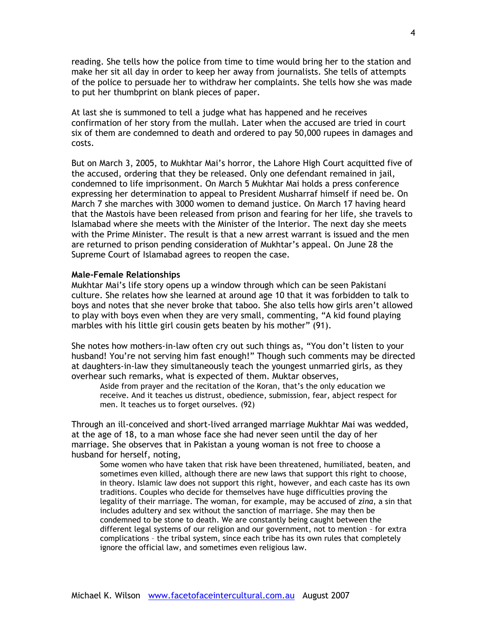reading. She tells how the police from time to time would bring her to the station and make her sit all day in order to keep her away from journalists. She tells of attempts of the police to persuade her to withdraw her complaints. She tells how she was made to put her thumbprint on blank pieces of paper.

At last she is summoned to tell a judge what has happened and he receives confirmation of her story from the mullah. Later when the accused are tried in court six of them are condemned to death and ordered to pay 50,000 rupees in damages and costs.

But on March 3, 2005, to Mukhtar Mai's horror, the Lahore High Court acquitted five of the accused, ordering that they be released. Only one defendant remained in jail, condemned to life imprisonment. On March 5 Mukhtar Mai holds a press conference expressing her determination to appeal to President Musharraf himself if need be. On March 7 she marches with 3000 women to demand justice. On March 17 having heard that the Mastois have been released from prison and fearing for her life, she travels to Islamabad where she meets with the Minister of the Interior. The next day she meets with the Prime Minister. The result is that a new arrest warrant is issued and the men are returned to prison pending consideration of Mukhtar's appeal. On June 28 the Supreme Court of Islamabad agrees to reopen the case.

### **Male-Female Relationships**

Mukhtar Mai's life story opens up a window through which can be seen Pakistani culture. She relates how she learned at around age 10 that it was forbidden to talk to boys and notes that she never broke that taboo. She also tells how girls aren't allowed to play with boys even when they are very small, commenting, "A kid found playing marbles with his little girl cousin gets beaten by his mother" (91).

She notes how mothers-in-law often cry out such things as, "You don't listen to your husband! You're not serving him fast enough!" Though such comments may be directed at daughters-in-law they simultaneously teach the youngest unmarried girls, as they overhear such remarks, what is expected of them. Muktar observes,

Aside from prayer and the recitation of the Koran, that's the only education we receive. And it teaches us distrust, obedience, submission, fear, abject respect for men. It teaches us to forget ourselves. (92)

Through an ill-conceived and short-lived arranged marriage Mukhtar Mai was wedded, at the age of 18, to a man whose face she had never seen until the day of her marriage. She observes that in Pakistan a young woman is not free to choose a husband for herself, noting,

Some women who have taken that risk have been threatened, humiliated, beaten, and sometimes even killed, although there are new laws that support this right to choose, in theory. Islamic law does not support this right, however, and each caste has its own traditions. Couples who decide for themselves have huge difficulties proving the legality of their marriage. The woman, for example, may be accused of *zina*, a sin that includes adultery and sex without the sanction of marriage. She may then be condemned to be stone to death. We are constantly being caught between the different legal systems of our religion and our government, not to mention – for extra complications – the tribal system, since each tribe has its own rules that completely ignore the official law, and sometimes even religious law.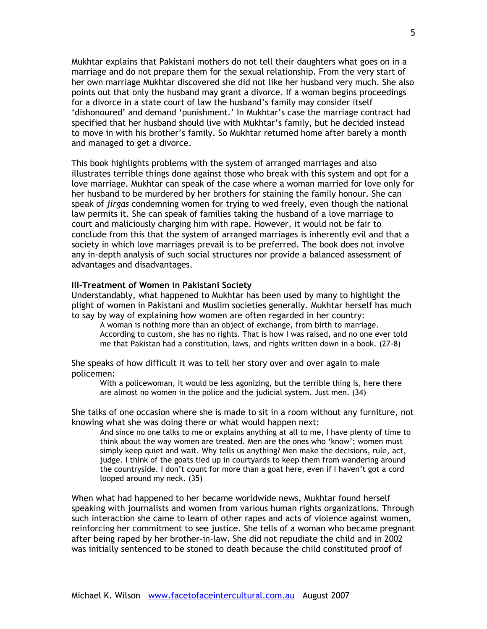Mukhtar explains that Pakistani mothers do not tell their daughters what goes on in a marriage and do not prepare them for the sexual relationship. From the very start of her own marriage Mukhtar discovered she did not like her husband very much. She also points out that only the husband may grant a divorce. If a woman begins proceedings for a divorce in a state court of law the husband's family may consider itself 'dishonoured' and demand 'punishment.' In Mukhtar's case the marriage contract had specified that her husband should live with Mukhtar's family, but he decided instead to move in with his brother's family. So Mukhtar returned home after barely a month and managed to get a divorce.

This book highlights problems with the system of arranged marriages and also illustrates terrible things done against those who break with this system and opt for a love marriage. Mukhtar can speak of the case where a woman married for love only for her husband to be murdered by her brothers for staining the family honour. She can speak of *jirgas* condemning women for trying to wed freely, even though the national law permits it. She can speak of families taking the husband of a love marriage to court and maliciously charging him with rape. However, it would not be fair to conclude from this that the system of arranged marriages is inherently evil and that a society in which love marriages prevail is to be preferred. The book does not involve any in-depth analysis of such social structures nor provide a balanced assessment of advantages and disadvantages.

### **Ill-Treatment of Women in Pakistani Society**

Understandably, what happened to Mukhtar has been used by many to highlight the plight of women in Pakistani and Muslim societies generally. Mukhtar herself has much to say by way of explaining how women are often regarded in her country:

A woman is nothing more than an object of exchange, from birth to marriage. According to custom, she has no rights. That is how I was raised, and no one ever told me that Pakistan had a constitution, laws, and rights written down in a book. (27-8)

She speaks of how difficult it was to tell her story over and over again to male policemen:

With a policewoman, it would be less agonizing, but the terrible thing is, here there are almost no women in the police and the judicial system. Just men. (34)

She talks of one occasion where she is made to sit in a room without any furniture, not knowing what she was doing there or what would happen next:

And since no one talks to me or explains anything at all to me, I have plenty of time to think about the way women are treated. Men are the ones who 'know'; women must simply keep quiet and wait. Why tells us anything? Men make the decisions, rule, act, judge. I think of the goats tied up in courtyards to keep them from wandering around the countryside. I don't count for more than a goat here, even if I haven't got a cord looped around my neck. (35)

When what had happened to her became worldwide news, Mukhtar found herself speaking with journalists and women from various human rights organizations. Through such interaction she came to learn of other rapes and acts of violence against women, reinforcing her commitment to see justice. She tells of a woman who became pregnant after being raped by her brother-in-law. She did not repudiate the child and in 2002 was initially sentenced to be stoned to death because the child constituted proof of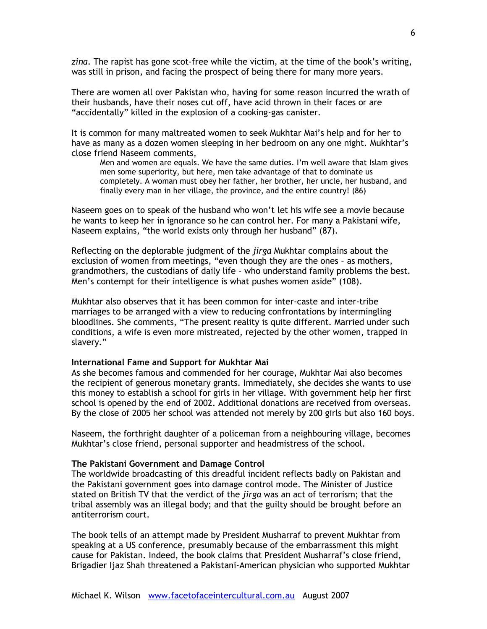*zina*. The rapist has gone scot-free while the victim, at the time of the book's writing, was still in prison, and facing the prospect of being there for many more years.

There are women all over Pakistan who, having for some reason incurred the wrath of their husbands, have their noses cut off, have acid thrown in their faces or are "accidentally" killed in the explosion of a cooking-gas canister.

It is common for many maltreated women to seek Mukhtar Mai's help and for her to have as many as a dozen women sleeping in her bedroom on any one night. Mukhtar's close friend Naseem comments,

Men and women are equals. We have the same duties. I'm well aware that Islam gives men some superiority, but here, men take advantage of that to dominate us completely. A woman must obey her father, her brother, her uncle, her husband, and finally every man in her village, the province, and the entire country! (86)

Naseem goes on to speak of the husband who won't let his wife see a movie because he wants to keep her in ignorance so he can control her. For many a Pakistani wife, Naseem explains, "the world exists only through her husband" (87).

Reflecting on the deplorable judgment of the *jirga* Mukhtar complains about the exclusion of women from meetings, "even though they are the ones – as mothers, grandmothers, the custodians of daily life – who understand family problems the best. Men's contempt for their intelligence is what pushes women aside" (108).

Mukhtar also observes that it has been common for inter-caste and inter-tribe marriages to be arranged with a view to reducing confrontations by intermingling bloodlines. She comments, "The present reality is quite different. Married under such conditions, a wife is even more mistreated, rejected by the other women, trapped in slavery."

# **International Fame and Support for Mukhtar Mai**

As she becomes famous and commended for her courage, Mukhtar Mai also becomes the recipient of generous monetary grants. Immediately, she decides she wants to use this money to establish a school for girls in her village. With government help her first school is opened by the end of 2002. Additional donations are received from overseas. By the close of 2005 her school was attended not merely by 200 girls but also 160 boys.

Naseem, the forthright daughter of a policeman from a neighbouring village, becomes Mukhtar's close friend, personal supporter and headmistress of the school.

### **The Pakistani Government and Damage Control**

The worldwide broadcasting of this dreadful incident reflects badly on Pakistan and the Pakistani government goes into damage control mode. The Minister of Justice stated on British TV that the verdict of the *jirga* was an act of terrorism; that the tribal assembly was an illegal body; and that the guilty should be brought before an antiterrorism court.

The book tells of an attempt made by President Musharraf to prevent Mukhtar from speaking at a US conference, presumably because of the embarrassment this might cause for Pakistan. Indeed, the book claims that President Musharraf's close friend, Brigadier Ijaz Shah threatened a Pakistani-American physician who supported Mukhtar